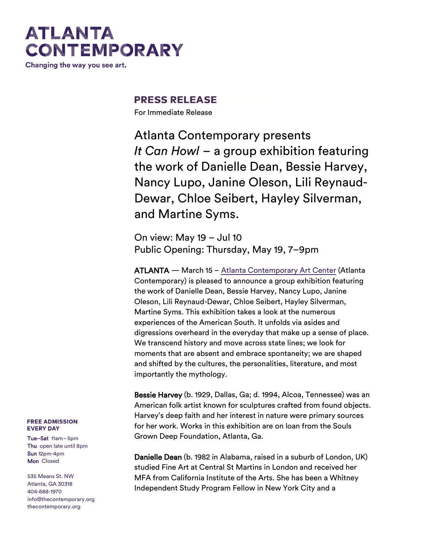# **ATLANTA CONTEMPORARY**

Changing the way you see art.

### **PRESS RELEASE**

For Immediate Release

Atlanta Contemporary presents *It Can Howl* – a group exhibition featuring the work of Danielle Dean, Bessie Harvey, Nancy Lupo, Janine Oleson, Lili Reynaud-Dewar, Chloe Seibert, Hayley Silverman, and Martine Syms.

On view: May 19 – Jul 10 Public Opening: Thursday, May 19, 7–9pm

ATLANTA — March 15 – [Atlanta Contemporary Art Center](http://atlantacontemporary.org/) (Atlanta Contemporary) is pleased to announce a group exhibition featuring the work of Danielle Dean, Bessie Harvey, Nancy Lupo, Janine Oleson, Lili Reynaud-Dewar, Chloe Seibert, Hayley Silverman, Martine Syms. This exhibition takes a look at the numerous experiences of the American South. It unfolds via asides and digressions overheard in the everyday that make up a sense of place. We transcend history and move across state lines; we look for moments that are absent and embrace spontaneity; we are shaped and shifted by the cultures, the personalities, literature, and most importantly the mythology.

Bessie Harvey (b. 1929, Dallas, Ga; d. 1994, Alcoa, Tennessee) was an American folk artist known for sculptures crafted from found objects. Harvey's deep faith and her interest in nature were primary sources for her work. Works in this exhibition are on loan from the Souls Grown Deep Foundation, Atlanta, Ga.

Danielle Dean (b. 1982 in Alabama, raised in a suburb of London, UK) studied Fine Art at Central St Martins in London and received her MFA from California Institute of the Arts. She has been a Whitney Independent Study Program Fellow in New York City and a

#### **FREE ADMISSION EVERY DAY**

Tue–Sat 11am–5pm Thu open late until 8pm Sun 12pm-4pm Mon Closed

535 Means St. NW Atlanta, GA 30318 404-688-1970 [info@thecontemporary.org](mailto:info@thecontemporary.org) thecontemporary.org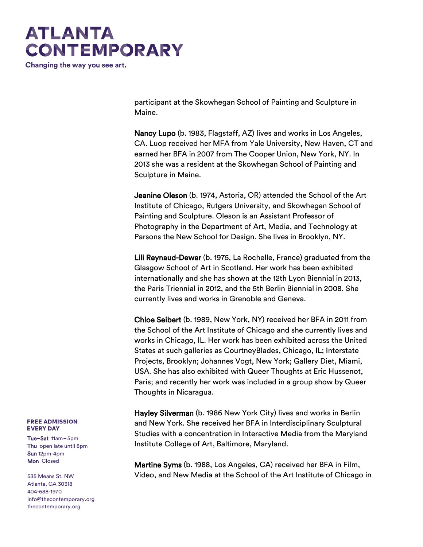# **ATLANTA CONTEMPORARY**

Changing the way you see art.

participant at the Skowhegan School of Painting and Sculpture in Maine.

Nancy Lupo (b. 1983, Flagstaff, AZ) lives and works in Los Angeles, CA. Luop received her MFA from Yale University, New Haven, CT and earned her BFA in 2007 from The Cooper Union, New York, NY. In 2013 she was a resident at the Skowhegan School of Painting and Sculpture in Maine.

Jeanine Oleson (b. 1974, Astoria, OR) attended the School of the Art Institute of Chicago, Rutgers University, and Skowhegan School of Painting and Sculpture. Oleson is an Assistant Professor of Photography in the Department of Art, Media, and Technology at Parsons the New School for Design. She lives in Brooklyn, NY.

Lili Reynaud-Dewar (b. 1975, La Rochelle, France) graduated from the Glasgow School of Art in Scotland. Her work has been exhibited internationally and she has shown at the 12th Lyon Biennial in 2013, the Paris Triennial in 2012, and the 5th Berlin Biennial in 2008. She currently lives and works in Grenoble and Geneva.

Chloe Seibert (b. 1989, New York, NY) received her BFA in 2011 from the School of the Art Institute of Chicago and she currently lives and works in Chicago, IL. Her work has been exhibited across the United States at such galleries as CourtneyBlades, Chicago, IL; Interstate Projects, Brooklyn; Johannes Vogt, New York; Gallery Diet, Miami, USA. She has also exhibited with Queer Thoughts at Eric Hussenot, Paris; and recently her work was included in a group show by Queer Thoughts in Nicaragua.

Hayley Silverman (b. 1986 New York City) lives and works in Berlin and New York. She received her BFA in Interdisciplinary Sculptural Studies with a concentration in Interactive Media from the Maryland Institute College of Art, Baltimore, Maryland.

Martine Syms (b. 1988, Los Angeles, CA) received her BFA in Film, Video, and New Media at the School of the Art Institute of Chicago in

#### **FREE ADMISSION EVERY DAY**

Tue–Sat 11am–5pm Thu open late until 8pm Sun 12pm-4pm Mon Closed

535 Means St. NW Atlanta, GA 30318 404-688-1970 [info@thecontemporary.org](mailto:info@thecontemporary.org) thecontemporary.org